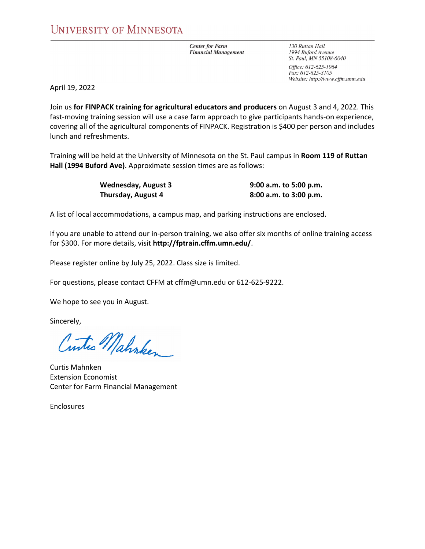**Center for Farm Financial Management**  130 Ruttan Hall 1994 Buford Avenue St. Paul, MN 55108-6040

Office: 612-625-1964 Fax: 612-625-3105 Website: http://www.cffm.umn.edu

April 19, 2022

Join us **for FINPACK training for agricultural educators and producers** on August 3 and 4, 2022. This fast-moving training session will use a case farm approach to give participants hands-on experience, covering all of the agricultural components of FINPACK. Registration is \$400 per person and includes lunch and refreshments.

Training will be held at the University of Minnesota on the St. Paul campus in **Room 119 of Ruttan Hall (1994 Buford Ave)**. Approximate session times are as follows:

> **Wednesday, August 3 9:00 a.m. to 5:00 p.m. Thursday, August 4 8:00 a.m. to 3:00 p.m.**

A list of local accommodations, a campus map, and parking instructions are enclosed.

If you are unable to attend our in‐person training, we also offer six months of online training access for \$300. For more details, visit **http://fptrain.cffm.umn.edu/**.

Please register online by July 25, 2022. Class size is limited.

For questions, please contact CFFM at cffm@umn.edu or 612‐625‐9222.

We hope to see you in August.

Sincerely,

Cuntes Mahnken

Curtis Mahnken Extension Economist Center for Farm Financial Management

Enclosures